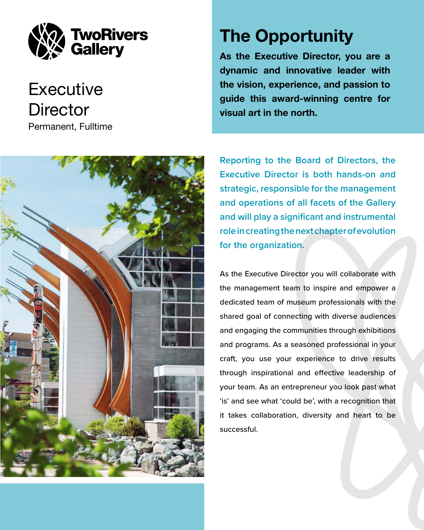**Reporting to the Board of Directors, the Executive Director is both hands-on and strategic, responsible for the management and operations of all facets of the Gallery and will play a significant and instrumental role in creating the next chapter of evolution for the organization.** 

As the Executive Director you will collaborate with the management team to inspire and empower a dedicated team of museum professionals with the shared goal of connecting with diverse audiences and engaging the communities through exhibitions and programs. As a seasoned professional in your



# **Executive Director** Permanent, Fulltime

craft, you use your experience to drive results through inspirational and effective leadership of your team. As an entrepreneur you look past what 'is' and see what 'could be', with a recognition that it takes collaboration, diversity and heart to be successful.

# The Opportunity

As the Executive Director, you are a dynamic and innovative leader with the vision, experience, and passion to guide this award-winning centre for visual art in the north.

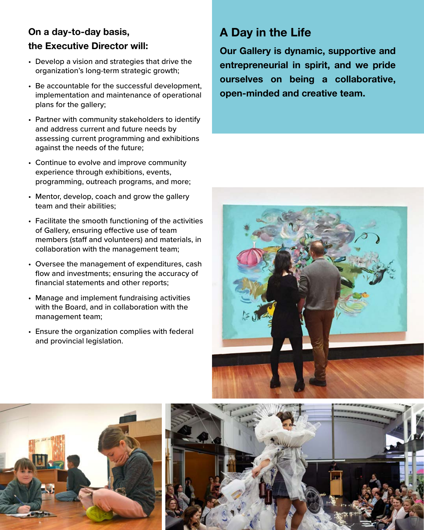## On a day-to-day basis, the Executive Director will:

- Develop a vision and strategies that drive the organization's long-term strategic growth;
- Be accountable for the successful development, implementation and maintenance of operational plans for the gallery;
- Partner with community stakeholders to identify and address current and future needs by assessing current programming and exhibitions against the needs of the future;
- Continue to evolve and improve community experience through exhibitions, events, programming, outreach programs, and more;
- Mentor, develop, coach and grow the gallery team and their abilities;
- Facilitate the smooth functioning of the activities of Gallery, ensuring effective use of team members (staff and volunteers) and materials, in collaboration with the management team;
- Oversee the management of expenditures, cash flow and investments; ensuring the accuracy of financial statements and other reports;
- Manage and implement fundraising activities with the Board, and in collaboration with the management team;
- Ensure the organization complies with federal and provincial legislation.

# A Day in the Life

Our Gallery is dynamic, supportive and entrepreneurial in spirit, and we pride ourselves on being a collaborative, open-minded and creative team.





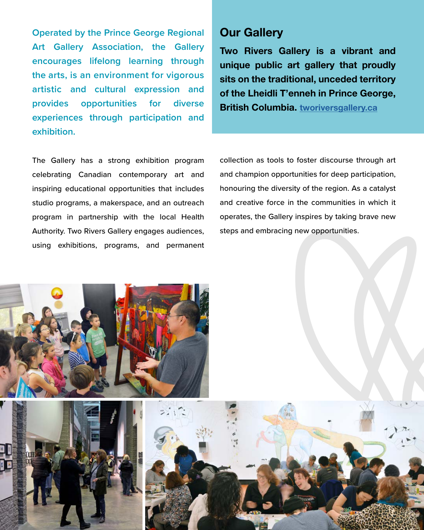**Operated by the Prince George Regional Art Gallery Association, the Gallery encourages lifelong learning through the arts, is an environment for vigorous artistic and cultural expression and provides opportunities for diverse experiences through participation and exhibition.** 

The Gallery has a strong exhibition program celebrating Canadian contemporary art and inspiring educational opportunities that includes studio programs, a makerspace, and an outreach program in partnership with the local Health Authority. Two Rivers Gallery engages audiences, using exhibitions, programs, and permanent

## Our Gallery

Two Rivers Gallery is a vibrant and unique public art gallery that proudly sits on the traditional, unceded territory of the Lheidli T'enneh in Prince George, British Columbia. [tworiversgallery.ca](http://tworiversgallery.ca)

collection as tools to foster discourse through art and champion opportunities for deep participation, honouring the diversity of the region. As a catalyst and creative force in the communities in which it operates, the Gallery inspires by taking brave new steps and embracing new opportunities.

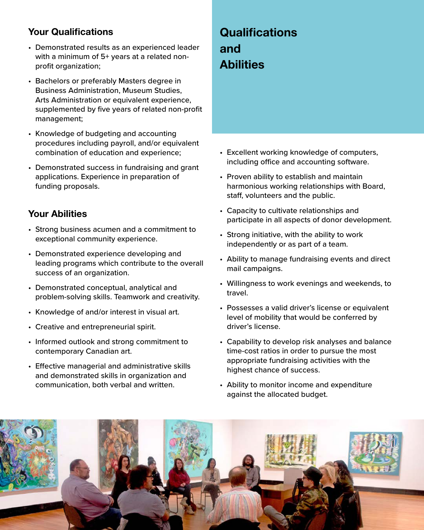#### Your Qualifications

- Demonstrated results as an experienced leader with a minimum of 5+ years at a related nonprofit organization;
- Bachelors or preferably Masters degree in Business Administration, Museum Studies, Arts Administration or equivalent experience, supplemented by five years of related non-profit management;
- Knowledge of budgeting and accounting procedures including payroll, and/or equivalent combination of education and experience;
- Demonstrated success in fundraising and grant applications. Experience in preparation of funding proposals.

#### Your Abilities

- Strong business acumen and a commitment to exceptional community experience.
- Demonstrated experience developing and leading programs which contribute to the overall success of an organization.
- Demonstrated conceptual, analytical and problem-solving skills. Teamwork and creativity.
- Knowledge of and/or interest in visual art.
- Creative and entrepreneurial spirit.
- Informed outlook and strong commitment to contemporary Canadian art.

# **Qualifications** and **Abilities**

- Excellent working knowledge of computers, including office and accounting software.
- Proven ability to establish and maintain harmonious working relationships with Board, staff, volunteers and the public.
- Capacity to cultivate relationships and participate in all aspects of donor development.
- Strong initiative, with the ability to work independently or as part of a team.
- Ability to manage fundraising events and direct mail campaigns.
- Willingness to work evenings and weekends, to travel.
- Possesses a valid driver's license or equivalent level of mobility that would be conferred by driver's license.
- Capability to develop risk analyses and balance time-cost ratios in order to pursue the most appropriate fundraising activities with the highest chance of success.
- Effective managerial and administrative skills and demonstrated skills in organization and communication, both verbal and written.
- Ability to monitor income and expenditure against the allocated budget.

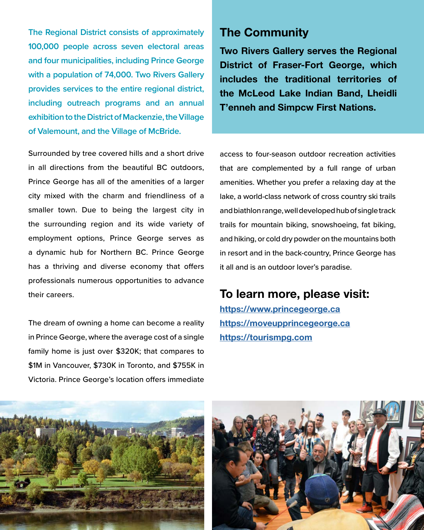**The Regional District consists of approximately 100,000 people across seven electoral areas and four municipalities, including Prince George with a population of 74,000. Two Rivers Gallery provides services to the entire regional district, including outreach programs and an annual exhibition to the District of Mackenzie, the Village of Valemount, and the Village of McBride.**

Surrounded by tree covered hills and a short drive in all directions from the beautiful BC outdoors, Prince George has all of the amenities of a larger city mixed with the charm and friendliness of a smaller town. Due to being the largest city in the surrounding region and its wide variety of employment options, Prince George serves as a dynamic hub for Northern BC. Prince George has a thriving and diverse economy that offers professionals numerous opportunities to advance their careers.

The dream of owning a home can become a reality in Prince George, where the average cost of a single family home is just over \$320K; that compares to \$1M in Vancouver, \$730K in Toronto, and \$755K in

Victoria. Prince George's location offers immediate



access to four-season outdoor recreation activities that are complemented by a full range of urban amenities. Whether you prefer a relaxing day at the lake, a world-class network of cross country ski trails and biathlon range, well developed hub of single track trails for mountain biking, snowshoeing, fat biking, and hiking, or cold dry powder on the mountains both in resort and in the back-country, Prince George has it all and is an outdoor lover's paradise.

### To learn more, please visit: [https://www.princegeorge.ca](https://www.princegeorge.ca/Pages/default.aspx)

[https://moveupprincegeorge.ca](https://moveupprincegeorge.ca ) [https://tourismpg.com](https://tourismpg.com )

## The Community

Two Rivers Gallery serves the Regional District of Fraser-Fort George, which includes the traditional territories of the McLeod Lake Indian Band, Lheidli T'enneh and Simpcw First Nations.